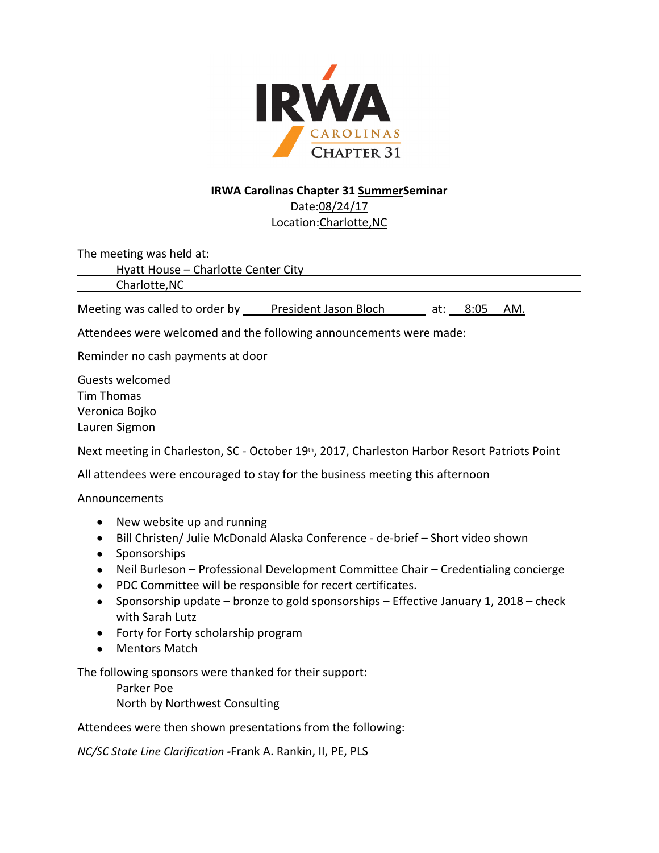

## **IRWA Carolinas Chapter 31 SummerSeminar**

Date:08/24/17 Location:Charlotte,NC

The meeting was held at:

Hyatt House – Charlotte Center City

Charlotte,NC

Meeting was called to order by President Jason Bloch at: 8:05 AM.

Attendees were welcomed and the following announcements were made:

Reminder no cash payments at door

Guests welcomed Tim Thomas Veronica Bojko Lauren Sigmon

Next meeting in Charleston, SC - October 19<sup>th</sup>, 2017, Charleston Harbor Resort Patriots Point

All attendees were encouraged to stay for the business meeting this afternoon

**Announcements** 

- New website up and running
- Bill Christen/ Julie McDonald Alaska Conference de-brief Short video shown
- Sponsorships
- Neil Burleson Professional Development Committee Chair Credentialing concierge
- PDC Committee will be responsible for recert certificates.
- Sponsorship update bronze to gold sponsorships Effective January 1, 2018 check with Sarah Lutz
- Forty for Forty scholarship program
- Mentors Match

The following sponsors were thanked for their support:

Parker Poe North by Northwest Consulting

Attendees were then shown presentations from the following:

*NC/SC State Line Clarification -*Frank A. Rankin, II, PE, PLS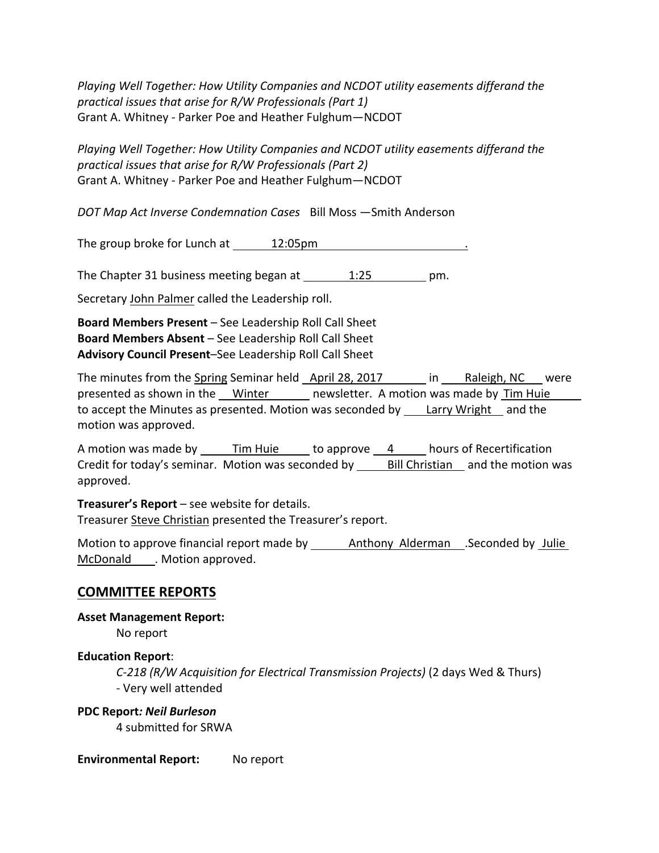*Playing Well Together: How Utility Companies and NCDOT utility easements differand the practical issues that arise for R/W Professionals (Part 1)* Grant A. Whitney - Parker Poe and Heather Fulghum—NCDOT

*Playing Well Together: How Utility Companies and NCDOT utility easements differand the practical issues that arise for R/W Professionals (Part 2)* Grant A. Whitney - Parker Poe and Heather Fulghum—NCDOT

*DOT Map Act Inverse Condemnation Cases* Bill Moss —Smith Anderson

The group broke for Lunch at 12:05pm

The Chapter 31 business meeting began at  $1:25$  pm.

Secretary John Palmer called the Leadership roll.

**Board Members Present** – See Leadership Roll Call Sheet **Board Members Absent** – See Leadership Roll Call Sheet **Advisory Council Present**–See Leadership Roll Call Sheet

The minutes from the Spring Seminar held April 28, 2017 in Raleigh, NC were presented as shown in the Winter newsletter. A motion was made by Tim Huie to accept the Minutes as presented. Motion was seconded by Larry Wright and the motion was approved.

A motion was made by \_\_\_\_\_\_Tim Huie \_\_\_\_\_\_ to approve \_\_\_4 \_\_\_\_\_\_ hours of Recertification Credit for today's seminar. Motion was seconded by Bill Christian and the motion was approved.

**Treasurer's Report** – see website for details. Treasurer Steve Christian presented the Treasurer's report.

Motion to approve financial report made by \_\_\_\_\_\_\_ Anthony Alderman \_\_\_. Seconded by Julie McDonald \_\_\_. Motion approved.

## **COMMITTEE REPORTS**

**Asset Management Report:**

No report

**Education Report**:

*C-218 (R/W Acquisition for Electrical Transmission Projects)* (2 days Wed & Thurs) - Very well attended

**PDC Report***: Neil Burleson*

4 submitted for SRWA

**Environmental Report:** No report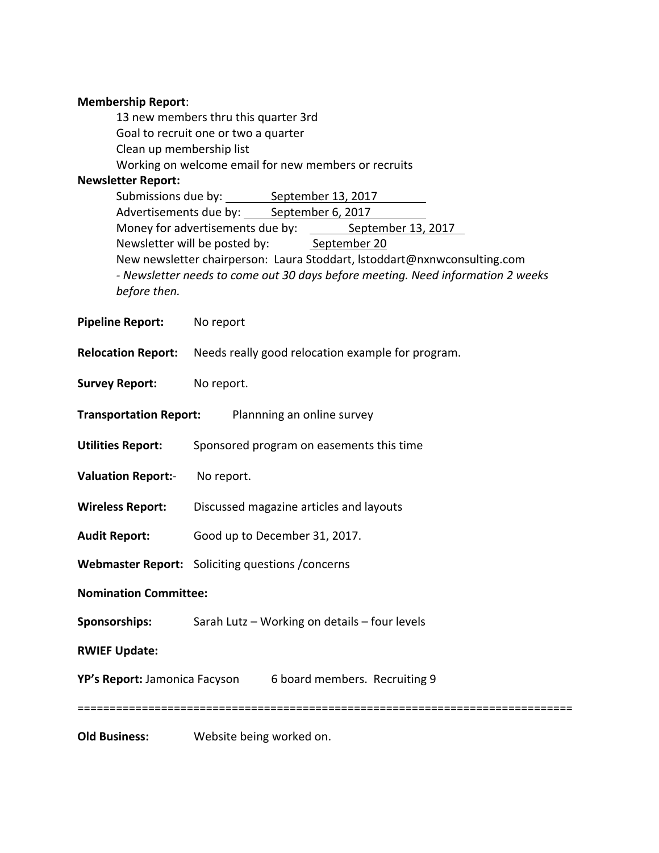## **Membership Report**:

|                                                                | 13 new members thru this quarter 3rd                                                                                                                        |  |
|----------------------------------------------------------------|-------------------------------------------------------------------------------------------------------------------------------------------------------------|--|
| Goal to recruit one or two a quarter                           |                                                                                                                                                             |  |
| Clean up membership list                                       |                                                                                                                                                             |  |
|                                                                | Working on welcome email for new members or recruits                                                                                                        |  |
| <b>Newsletter Report:</b>                                      |                                                                                                                                                             |  |
|                                                                | Submissions due by: September 13, 2017<br>Advertisements due by: September 6, 2017                                                                          |  |
|                                                                |                                                                                                                                                             |  |
|                                                                | Money for advertisements due by: September 13, 2017                                                                                                         |  |
|                                                                | Newsletter will be posted by:<br>September 20                                                                                                               |  |
|                                                                | New newsletter chairperson: Laura Stoddart, Istoddart@nxnwconsulting.com<br>- Newsletter needs to come out 30 days before meeting. Need information 2 weeks |  |
| before then.                                                   |                                                                                                                                                             |  |
|                                                                |                                                                                                                                                             |  |
| <b>Pipeline Report:</b>                                        | No report                                                                                                                                                   |  |
|                                                                |                                                                                                                                                             |  |
| <b>Relocation Report:</b>                                      | Needs really good relocation example for program.                                                                                                           |  |
|                                                                |                                                                                                                                                             |  |
| <b>Survey Report:</b>                                          | No report.                                                                                                                                                  |  |
| <b>Transportation Report:</b><br>Plannning an online survey    |                                                                                                                                                             |  |
|                                                                |                                                                                                                                                             |  |
| <b>Utilities Report:</b>                                       | Sponsored program on easements this time                                                                                                                    |  |
|                                                                |                                                                                                                                                             |  |
| <b>Valuation Report:-</b>                                      | No report.                                                                                                                                                  |  |
| <b>Wireless Report:</b>                                        | Discussed magazine articles and layouts                                                                                                                     |  |
|                                                                |                                                                                                                                                             |  |
| <b>Audit Report:</b>                                           | Good up to December 31, 2017.                                                                                                                               |  |
|                                                                | <b>Webmaster Report:</b> Soliciting questions / concerns                                                                                                    |  |
|                                                                |                                                                                                                                                             |  |
| <b>Nomination Committee:</b>                                   |                                                                                                                                                             |  |
| Sponsorships:                                                  | Sarah Lutz - Working on details - four levels                                                                                                               |  |
|                                                                |                                                                                                                                                             |  |
| <b>RWIEF Update:</b>                                           |                                                                                                                                                             |  |
| YP's Report: Jamonica Facyson<br>6 board members. Recruiting 9 |                                                                                                                                                             |  |
|                                                                |                                                                                                                                                             |  |
|                                                                |                                                                                                                                                             |  |
|                                                                |                                                                                                                                                             |  |

**Old Business:** Website being worked on.